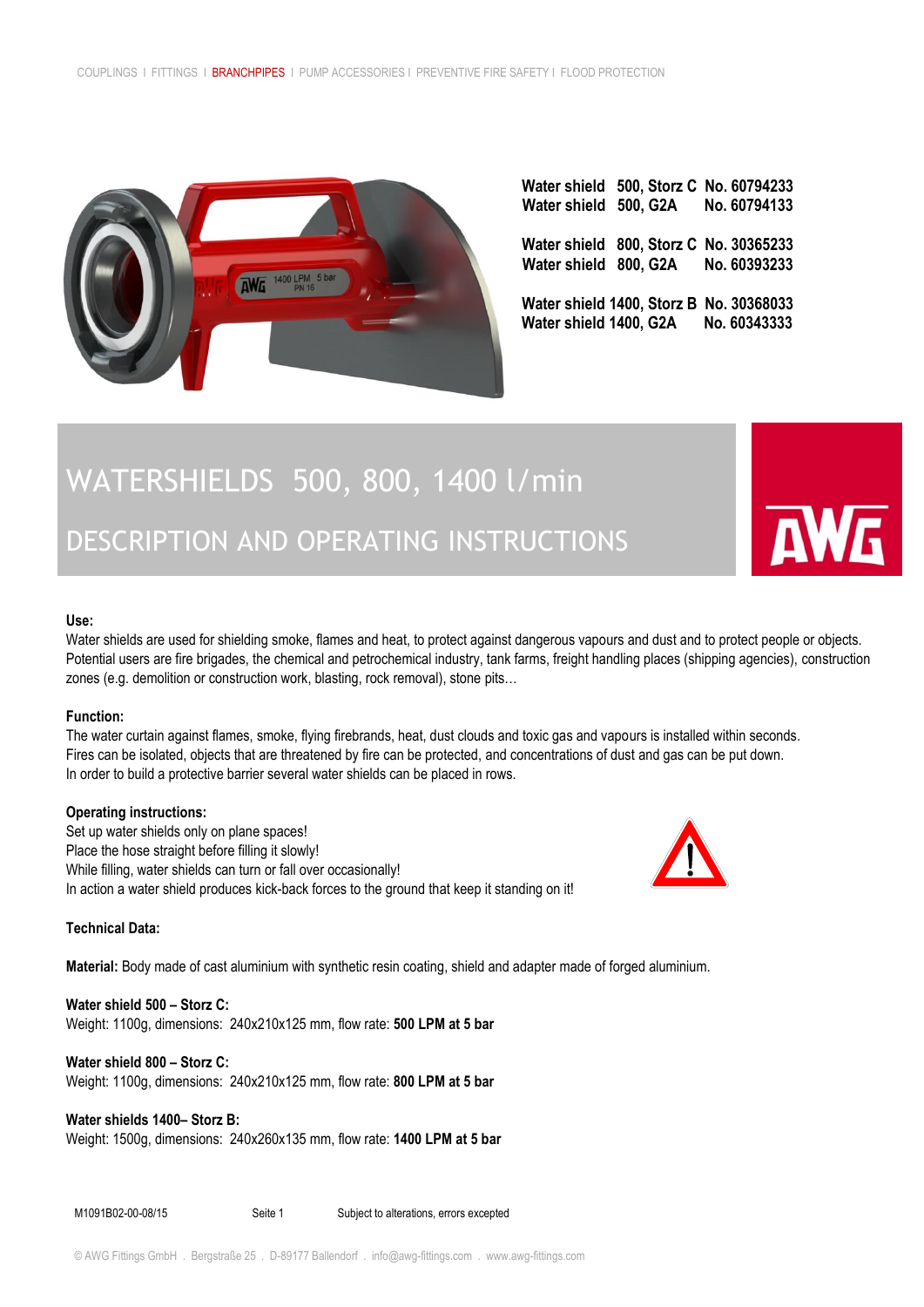

|  | Water shield 500, Storz C No. 60794233<br>Water shield 500, G2A No. 60794133   |
|--|--------------------------------------------------------------------------------|
|  | Water shield 800, Storz C No. 30365233<br>Water shield 800, G2A No. 60393233   |
|  | Water shield 1400, Storz B No. 30368033<br>Water shield 1400, G2A No. 60343333 |

# WATERSHIELDS 500, 800, 1400 l/min

# DESCRIPTION AND OPERATING INSTRUCTIONS

### **Use:**

Water shields are used for shielding smoke, flames and heat, to protect against dangerous vapours and dust and to protect people or objects. Potential users are fire brigades, the chemical and petrochemical industry, tank farms, freight handling places (shipping agencies), construction zones (e.g. demolition or construction work, blasting, rock removal), stone pits…

#### **Function:**

The water curtain against flames, smoke, flying firebrands, heat, dust clouds and toxic gas and vapours is installed within seconds. Fires can be isolated, objects that are threatened by fire can be protected, and concentrations of dust and gas can be put down. In order to build a protective barrier several water shields can be placed in rows.

#### **Operating instructions:**

Set up water shields only on plane spaces! Place the hose straight before filling it slowly! While filling, water shields can turn or fall over occasionally! In action a water shield produces kick-back forces to the ground that keep it standing on it!



**Material:** Body made of cast aluminium with [synthetic resin coating, shield and adapter made of forged](http://de.dictindustry.com/englisch-deutsch/synthetic+resin+coating) aluminium.

**Water shield 500 – Storz C:**  Weight: 1100g, dimensions: 240x210x125 mm, flow rate: **500 LPM at 5 bar**

## **Water shield 800 – Storz C:**

Weight: 1100g, dimensions: 240x210x125 mm, flow rate: **800 LPM at 5 bar**

# **Water shields 1400– Storz B:**

Weight: 1500g, dimensions: 240x260x135 mm, flow rate: **1400 LPM at 5 bar**

M1091B02-00-08/15 Seite 1 Subject to alterations, errors excepted



**AWG**